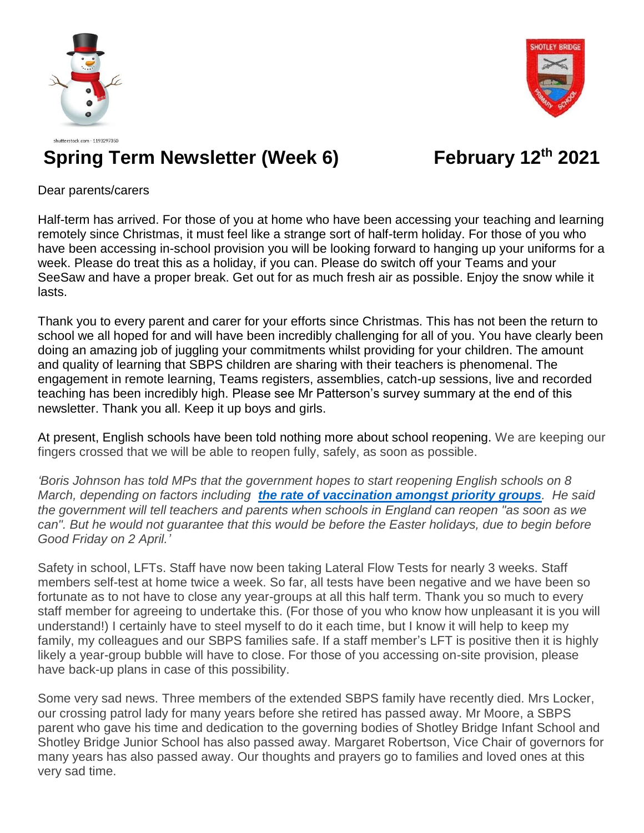



## shutterstock.com · 1193297350 **Spring Term Newsletter (Week 6) February 12th 2021**

Dear parents/carers

Half-term has arrived. For those of you at home who have been accessing your teaching and learning remotely since Christmas, it must feel like a strange sort of half-term holiday. For those of you who have been accessing in-school provision you will be looking forward to hanging up your uniforms for a week. Please do treat this as a holiday, if you can. Please do switch off your Teams and your SeeSaw and have a proper break. Get out for as much fresh air as possible. Enjoy the snow while it lasts.

Thank you to every parent and carer for your efforts since Christmas. This has not been the return to school we all hoped for and will have been incredibly challenging for all of you. You have clearly been doing an amazing job of juggling your commitments whilst providing for your children. The amount and quality of learning that SBPS children are sharing with their teachers is phenomenal. The engagement in remote learning, Teams registers, assemblies, catch-up sessions, live and recorded teaching has been incredibly high. Please see Mr Patterson's survey summary at the end of this newsletter. Thank you all. Keep it up boys and girls.

At present, English schools have been told nothing more about school reopening. We are keeping our fingers crossed that we will be able to reopen fully, safely, as soon as possible.

*'Boris Johnson has told MPs that the government hopes to start reopening English schools on 8 March, depending on factors including [the rate of vaccination amongst priority groups](https://www.bbc.co.uk/news/health-55045639). He said the government will tell teachers and parents when schools in England can reopen "as soon as we can". But he would not guarantee that this would be before the Easter holidays, due to begin before Good Friday on 2 April.'*

Safety in school, LFTs. Staff have now been taking Lateral Flow Tests for nearly 3 weeks. Staff members self-test at home twice a week. So far, all tests have been negative and we have been so fortunate as to not have to close any year-groups at all this half term. Thank you so much to every staff member for agreeing to undertake this. (For those of you who know how unpleasant it is you will understand!) I certainly have to steel myself to do it each time, but I know it will help to keep my family, my colleagues and our SBPS families safe. If a staff member's LFT is positive then it is highly likely a year-group bubble will have to close. For those of you accessing on-site provision, please have back-up plans in case of this possibility.

Some very sad news. Three members of the extended SBPS family have recently died. Mrs Locker, our crossing patrol lady for many years before she retired has passed away. Mr Moore, a SBPS parent who gave his time and dedication to the governing bodies of Shotley Bridge Infant School and Shotley Bridge Junior School has also passed away. Margaret Robertson, Vice Chair of governors for many years has also passed away. Our thoughts and prayers go to families and loved ones at this very sad time.